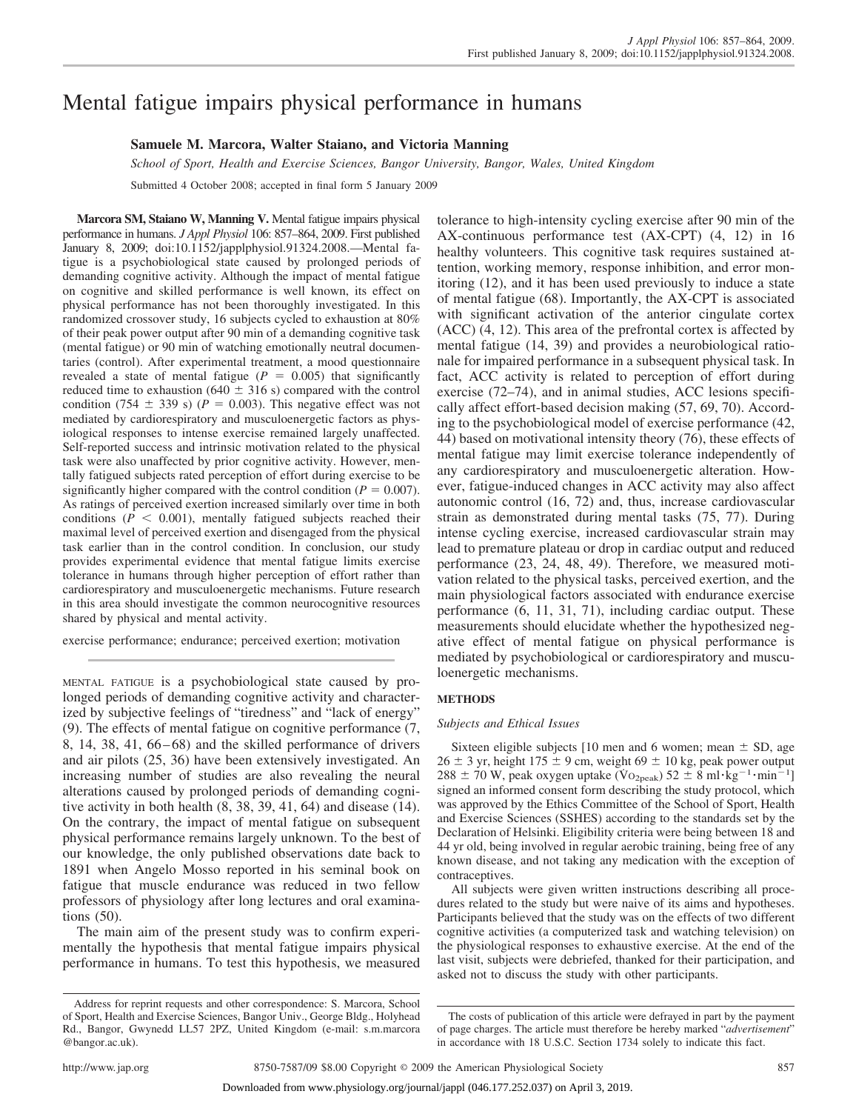# Mental fatigue impairs physical performance in humans

# **Samuele M. Marcora, Walter Staiano, and Victoria Manning**

*School of Sport, Health and Exercise Sciences, Bangor University, Bangor, Wales, United Kingdom*

Submitted 4 October 2008; accepted in final form 5 January 2009

**Marcora SM, Staiano W, Manning V.** Mental fatigue impairs physical performance in humans. *J Appl Physiol* 106: 857–864, 2009. First published January 8, 2009; doi:10.1152/japplphysiol.91324.2008.—Mental fatigue is a psychobiological state caused by prolonged periods of demanding cognitive activity. Although the impact of mental fatigue on cognitive and skilled performance is well known, its effect on physical performance has not been thoroughly investigated. In this randomized crossover study, 16 subjects cycled to exhaustion at 80% of their peak power output after 90 min of a demanding cognitive task (mental fatigue) or 90 min of watching emotionally neutral documentaries (control). After experimental treatment, a mood questionnaire revealed a state of mental fatigue ( $P = 0.005$ ) that significantly reduced time to exhaustion ( $640 \pm 316$  s) compared with the control condition (754  $\pm$  339 s) ( $P = 0.003$ ). This negative effect was not mediated by cardiorespiratory and musculoenergetic factors as physiological responses to intense exercise remained largely unaffected. Self-reported success and intrinsic motivation related to the physical task were also unaffected by prior cognitive activity. However, mentally fatigued subjects rated perception of effort during exercise to be significantly higher compared with the control condition ( $P = 0.007$ ). As ratings of perceived exertion increased similarly over time in both conditions  $(P < 0.001)$ , mentally fatigued subjects reached their maximal level of perceived exertion and disengaged from the physical task earlier than in the control condition. In conclusion, our study provides experimental evidence that mental fatigue limits exercise tolerance in humans through higher perception of effort rather than cardiorespiratory and musculoenergetic mechanisms. Future research in this area should investigate the common neurocognitive resources shared by physical and mental activity.

exercise performance; endurance; perceived exertion; motivation

MENTAL FATIGUE is a psychobiological state caused by prolonged periods of demanding cognitive activity and characterized by subjective feelings of "tiredness" and "lack of energy" (9). The effects of mental fatigue on cognitive performance (7, 8, 14, 38, 41,  $66-68$ ) and the skilled performance of drivers and air pilots (25, 36) have been extensively investigated. An increasing number of studies are also revealing the neural alterations caused by prolonged periods of demanding cognitive activity in both health (8, 38, 39, 41, 64) and disease (14). On the contrary, the impact of mental fatigue on subsequent physical performance remains largely unknown. To the best of our knowledge, the only published observations date back to 1891 when Angelo Mosso reported in his seminal book on fatigue that muscle endurance was reduced in two fellow professors of physiology after long lectures and oral examinations (50).

The main aim of the present study was to confirm experimentally the hypothesis that mental fatigue impairs physical performance in humans. To test this hypothesis, we measured tolerance to high-intensity cycling exercise after 90 min of the AX-continuous performance test (AX-CPT) (4, 12) in 16 healthy volunteers. This cognitive task requires sustained attention, working memory, response inhibition, and error monitoring (12), and it has been used previously to induce a state of mental fatigue (68). Importantly, the AX-CPT is associated with significant activation of the anterior cingulate cortex (ACC) (4, 12). This area of the prefrontal cortex is affected by mental fatigue (14, 39) and provides a neurobiological rationale for impaired performance in a subsequent physical task. In fact, ACC activity is related to perception of effort during exercise (72–74), and in animal studies, ACC lesions specifically affect effort-based decision making (57, 69, 70). According to the psychobiological model of exercise performance (42, 44) based on motivational intensity theory (76), these effects of mental fatigue may limit exercise tolerance independently of any cardiorespiratory and musculoenergetic alteration. However, fatigue-induced changes in ACC activity may also affect autonomic control (16, 72) and, thus, increase cardiovascular strain as demonstrated during mental tasks (75, 77). During intense cycling exercise, increased cardiovascular strain may lead to premature plateau or drop in cardiac output and reduced performance (23, 24, 48, 49). Therefore, we measured motivation related to the physical tasks, perceived exertion, and the main physiological factors associated with endurance exercise performance (6, 11, 31, 71), including cardiac output. These measurements should elucidate whether the hypothesized negative effect of mental fatigue on physical performance is mediated by psychobiological or cardiorespiratory and musculoenergetic mechanisms.

# **METHODS**

#### *Subjects and Ethical Issues*

Sixteen eligible subjects [10 men and 6 women; mean  $\pm$  SD, age  $26 \pm 3$  yr, height 175  $\pm$  9 cm, weight 69  $\pm$  10 kg, peak power output  $288 \pm 70$  W, peak oxygen uptake (Vo<sub>2peak</sub>)  $52 \pm 8$  ml·kg<sup>-1</sup>·min<sup>-1</sup>] signed an informed consent form describing the study protocol, which was approved by the Ethics Committee of the School of Sport, Health and Exercise Sciences (SSHES) according to the standards set by the Declaration of Helsinki. Eligibility criteria were being between 18 and 44 yr old, being involved in regular aerobic training, being free of any known disease, and not taking any medication with the exception of contraceptives.

All subjects were given written instructions describing all procedures related to the study but were naive of its aims and hypotheses. Participants believed that the study was on the effects of two different cognitive activities (a computerized task and watching television) on the physiological responses to exhaustive exercise. At the end of the last visit, subjects were debriefed, thanked for their participation, and asked not to discuss the study with other participants.

Address for reprint requests and other correspondence: S. Marcora, School of Sport, Health and Exercise Sciences, Bangor Univ., George Bldg., Holyhead Rd., Bangor, Gwynedd LL57 2PZ, United Kingdom (e-mail: s.m.marcora @bangor.ac.uk).

The costs of publication of this article were defrayed in part by the payment of page charges. The article must therefore be hereby marked "*advertisement*" in accordance with 18 U.S.C. Section 1734 solely to indicate this fact.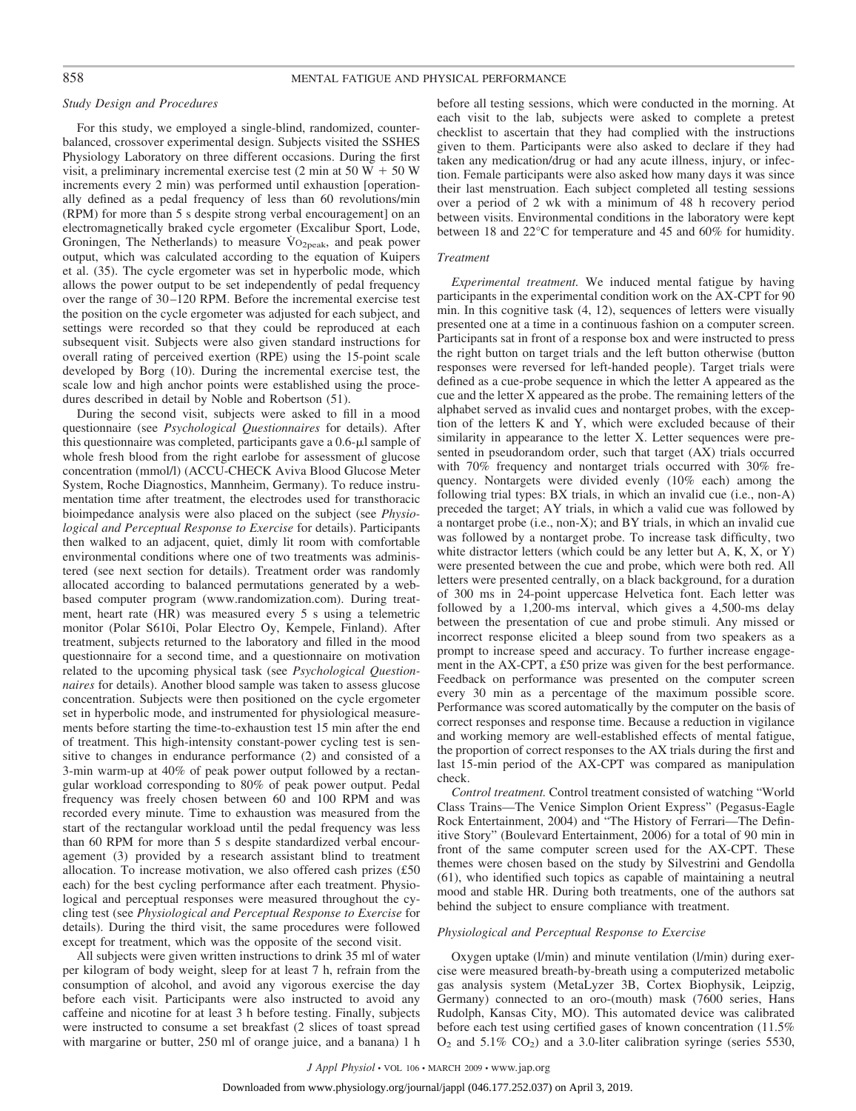### *Study Design and Procedures*

For this study, we employed a single-blind, randomized, counterbalanced, crossover experimental design. Subjects visited the SSHES Physiology Laboratory on three different occasions. During the first visit, a preliminary incremental exercise test  $(2 \text{ min at } 50 \text{ W} + 50 \text{ W})$ increments every 2 min) was performed until exhaustion [operationally defined as a pedal frequency of less than 60 revolutions/min (RPM) for more than 5 s despite strong verbal encouragement] on an electromagnetically braked cycle ergometer (Excalibur Sport, Lode, Groningen, The Netherlands) to measure Vo<sub>2peak</sub>, and peak power output, which was calculated according to the equation of Kuipers et al. (35). The cycle ergometer was set in hyperbolic mode, which allows the power output to be set independently of pedal frequency over the range of 30 –120 RPM. Before the incremental exercise test the position on the cycle ergometer was adjusted for each subject, and settings were recorded so that they could be reproduced at each subsequent visit. Subjects were also given standard instructions for overall rating of perceived exertion (RPE) using the 15-point scale developed by Borg (10). During the incremental exercise test, the scale low and high anchor points were established using the procedures described in detail by Noble and Robertson (51).

During the second visit, subjects were asked to fill in a mood questionnaire (see *Psychological Questionnaires* for details). After this questionnaire was completed, participants gave a  $0.6$ - $\mu$ l sample of whole fresh blood from the right earlobe for assessment of glucose concentration (mmol/l) (ACCU-CHECK Aviva Blood Glucose Meter System, Roche Diagnostics, Mannheim, Germany). To reduce instrumentation time after treatment, the electrodes used for transthoracic bioimpedance analysis were also placed on the subject (see *Physiological and Perceptual Response to Exercise* for details). Participants then walked to an adjacent, quiet, dimly lit room with comfortable environmental conditions where one of two treatments was administered (see next section for details). Treatment order was randomly allocated according to balanced permutations generated by a webbased computer program (www.randomization.com). During treatment, heart rate (HR) was measured every 5 s using a telemetric monitor (Polar S610i, Polar Electro Oy, Kempele, Finland). After treatment, subjects returned to the laboratory and filled in the mood questionnaire for a second time, and a questionnaire on motivation related to the upcoming physical task (see *Psychological Questionnaires* for details). Another blood sample was taken to assess glucose concentration. Subjects were then positioned on the cycle ergometer set in hyperbolic mode, and instrumented for physiological measurements before starting the time-to-exhaustion test 15 min after the end of treatment. This high-intensity constant-power cycling test is sensitive to changes in endurance performance (2) and consisted of a 3-min warm-up at 40% of peak power output followed by a rectangular workload corresponding to 80% of peak power output. Pedal frequency was freely chosen between 60 and 100 RPM and was recorded every minute. Time to exhaustion was measured from the start of the rectangular workload until the pedal frequency was less than 60 RPM for more than 5 s despite standardized verbal encouragement (3) provided by a research assistant blind to treatment allocation. To increase motivation, we also offered cash prizes (£50 each) for the best cycling performance after each treatment. Physiological and perceptual responses were measured throughout the cycling test (see *Physiological and Perceptual Response to Exercise* for details). During the third visit, the same procedures were followed except for treatment, which was the opposite of the second visit.

All subjects were given written instructions to drink 35 ml of water per kilogram of body weight, sleep for at least 7 h, refrain from the consumption of alcohol, and avoid any vigorous exercise the day before each visit. Participants were also instructed to avoid any caffeine and nicotine for at least 3 h before testing. Finally, subjects were instructed to consume a set breakfast (2 slices of toast spread with margarine or butter, 250 ml of orange juice, and a banana) 1 h before all testing sessions, which were conducted in the morning. At each visit to the lab, subjects were asked to complete a pretest checklist to ascertain that they had complied with the instructions given to them. Participants were also asked to declare if they had taken any medication/drug or had any acute illness, injury, or infection. Female participants were also asked how many days it was since their last menstruation. Each subject completed all testing sessions over a period of 2 wk with a minimum of 48 h recovery period between visits. Environmental conditions in the laboratory were kept between 18 and 22°C for temperature and 45 and 60% for humidity.

#### *Treatment*

*Experimental treatment.* We induced mental fatigue by having participants in the experimental condition work on the AX-CPT for 90 min. In this cognitive task (4, 12), sequences of letters were visually presented one at a time in a continuous fashion on a computer screen. Participants sat in front of a response box and were instructed to press the right button on target trials and the left button otherwise (button responses were reversed for left-handed people). Target trials were defined as a cue-probe sequence in which the letter A appeared as the cue and the letter X appeared as the probe. The remaining letters of the alphabet served as invalid cues and nontarget probes, with the exception of the letters K and Y, which were excluded because of their similarity in appearance to the letter X. Letter sequences were presented in pseudorandom order, such that target (AX) trials occurred with 70% frequency and nontarget trials occurred with 30% frequency. Nontargets were divided evenly (10% each) among the following trial types: BX trials, in which an invalid cue (i.e., non-A) preceded the target; AY trials, in which a valid cue was followed by a nontarget probe (i.e., non-X); and BY trials, in which an invalid cue was followed by a nontarget probe. To increase task difficulty, two white distractor letters (which could be any letter but A, K, X, or Y) were presented between the cue and probe, which were both red. All letters were presented centrally, on a black background, for a duration of 300 ms in 24-point uppercase Helvetica font. Each letter was followed by a 1,200-ms interval, which gives a 4,500-ms delay between the presentation of cue and probe stimuli. Any missed or incorrect response elicited a bleep sound from two speakers as a prompt to increase speed and accuracy. To further increase engagement in the AX-CPT, a £50 prize was given for the best performance. Feedback on performance was presented on the computer screen every 30 min as a percentage of the maximum possible score. Performance was scored automatically by the computer on the basis of correct responses and response time. Because a reduction in vigilance and working memory are well-established effects of mental fatigue, the proportion of correct responses to the AX trials during the first and last 15-min period of the AX-CPT was compared as manipulation check.

*Control treatment.* Control treatment consisted of watching "World Class Trains—The Venice Simplon Orient Express" (Pegasus-Eagle Rock Entertainment, 2004) and "The History of Ferrari—The Definitive Story" (Boulevard Entertainment, 2006) for a total of 90 min in front of the same computer screen used for the AX-CPT. These themes were chosen based on the study by Silvestrini and Gendolla (61), who identified such topics as capable of maintaining a neutral mood and stable HR. During both treatments, one of the authors sat behind the subject to ensure compliance with treatment.

## *Physiological and Perceptual Response to Exercise*

Oxygen uptake (l/min) and minute ventilation (l/min) during exercise were measured breath-by-breath using a computerized metabolic gas analysis system (MetaLyzer 3B, Cortex Biophysik, Leipzig, Germany) connected to an oro-(mouth) mask (7600 series, Hans Rudolph, Kansas City, MO). This automated device was calibrated before each test using certified gases of known concentration (11.5%  $O_2$  and  $5.1\%$   $CO_2$ ) and a 3.0-liter calibration syringe (series 5530,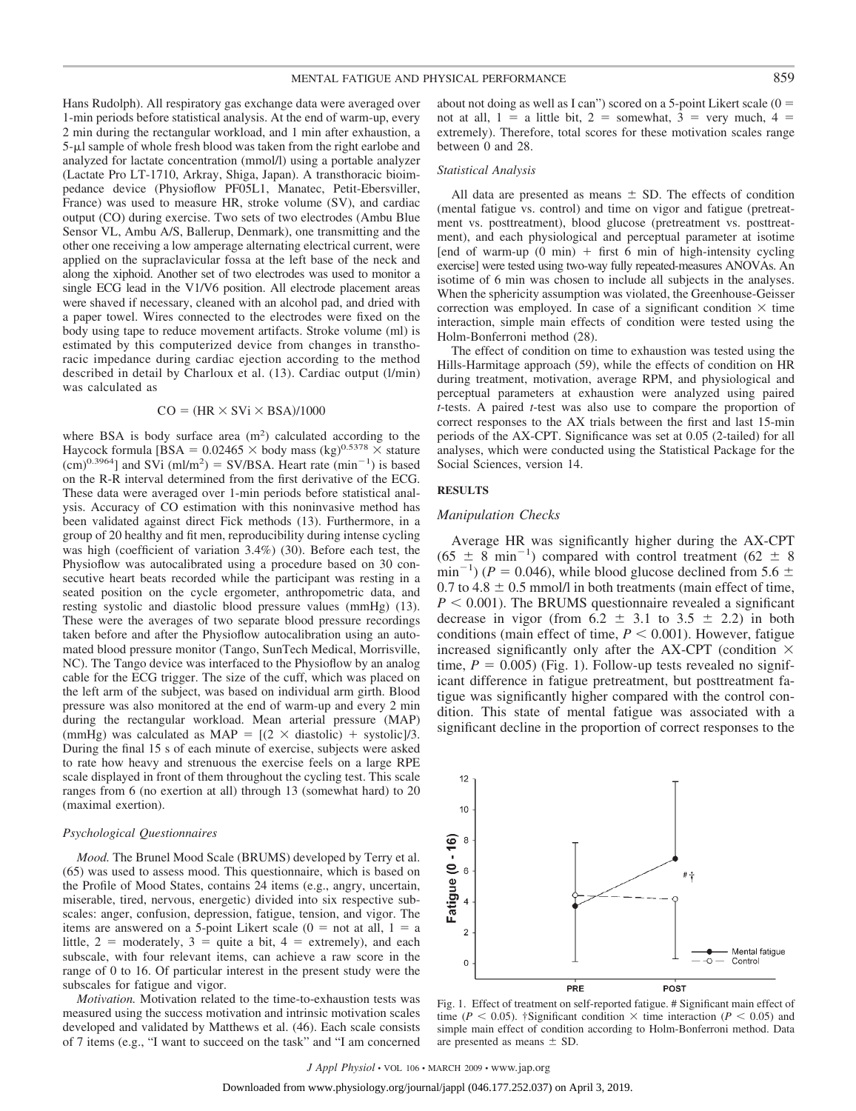Hans Rudolph). All respiratory gas exchange data were averaged over 1-min periods before statistical analysis. At the end of warm-up, every 2 min during the rectangular workload, and 1 min after exhaustion, a  $5-\mu$ l sample of whole fresh blood was taken from the right earlobe and analyzed for lactate concentration (mmol/l) using a portable analyzer (Lactate Pro LT-1710, Arkray, Shiga, Japan). A transthoracic bioimpedance device (Physioflow PF05L1, Manatec, Petit-Ebersviller, France) was used to measure HR, stroke volume (SV), and cardiac output (CO) during exercise. Two sets of two electrodes (Ambu Blue Sensor VL, Ambu A/S, Ballerup, Denmark), one transmitting and the other one receiving a low amperage alternating electrical current, were applied on the supraclavicular fossa at the left base of the neck and along the xiphoid. Another set of two electrodes was used to monitor a single ECG lead in the V1/V6 position. All electrode placement areas were shaved if necessary, cleaned with an alcohol pad, and dried with a paper towel. Wires connected to the electrodes were fixed on the body using tape to reduce movement artifacts. Stroke volume (ml) is estimated by this computerized device from changes in transthoracic impedance during cardiac ejection according to the method described in detail by Charloux et al. (13). Cardiac output (l/min) was calculated as

#### $CO = (HR \times SVi \times BSA)/1000$

where BSA is body surface area  $(m<sup>2</sup>)$  calculated according to the Haycock formula [BSA =  $0.02465 \times$  body mass (kg)<sup>0.5378</sup>  $\times$  stature  $(cm)^{0.3964}$ ] and SVi (ml/m<sup>2</sup>) = SV/BSA. Heart rate (min<sup>-1</sup>) is based on the R-R interval determined from the first derivative of the ECG. These data were averaged over 1-min periods before statistical analysis. Accuracy of CO estimation with this noninvasive method has been validated against direct Fick methods (13). Furthermore, in a group of 20 healthy and fit men, reproducibility during intense cycling was high (coefficient of variation 3.4%) (30). Before each test, the Physioflow was autocalibrated using a procedure based on 30 consecutive heart beats recorded while the participant was resting in a seated position on the cycle ergometer, anthropometric data, and resting systolic and diastolic blood pressure values (mmHg) (13). These were the averages of two separate blood pressure recordings taken before and after the Physioflow autocalibration using an automated blood pressure monitor (Tango, SunTech Medical, Morrisville, NC). The Tango device was interfaced to the Physioflow by an analog cable for the ECG trigger. The size of the cuff, which was placed on the left arm of the subject, was based on individual arm girth. Blood pressure was also monitored at the end of warm-up and every 2 min during the rectangular workload. Mean arterial pressure (MAP) (mmHg) was calculated as MAP =  $[(2 \times \text{diastolic}) + \text{systolic}]/3$ . During the final 15 s of each minute of exercise, subjects were asked to rate how heavy and strenuous the exercise feels on a large RPE scale displayed in front of them throughout the cycling test. This scale ranges from 6 (no exertion at all) through 13 (somewhat hard) to 20 (maximal exertion).

#### *Psychological Questionnaires*

*Mood.* The Brunel Mood Scale (BRUMS) developed by Terry et al. (65) was used to assess mood. This questionnaire, which is based on the Profile of Mood States, contains 24 items (e.g., angry, uncertain, miserable, tired, nervous, energetic) divided into six respective subscales: anger, confusion, depression, fatigue, tension, and vigor. The items are answered on a 5-point Likert scale  $(0 = \text{not at all}, 1 = \text{a})$ little,  $2 =$  moderately,  $3 =$  quite a bit,  $4 =$  extremely), and each subscale, with four relevant items, can achieve a raw score in the range of 0 to 16. Of particular interest in the present study were the subscales for fatigue and vigor.

*Motivation.* Motivation related to the time-to-exhaustion tests was measured using the success motivation and intrinsic motivation scales developed and validated by Matthews et al. (46). Each scale consists of 7 items (e.g., "I want to succeed on the task" and "I am concerned about not doing as well as I can") scored on a 5-point Likert scale  $(0 =$ not at all,  $1 = a$  little bit,  $2 =$  somewhat,  $3 =$  very much,  $4 =$ extremely). Therefore, total scores for these motivation scales range between 0 and 28.

### *Statistical Analysis*

All data are presented as means  $\pm$  SD. The effects of condition (mental fatigue vs. control) and time on vigor and fatigue (pretreatment vs. posttreatment), blood glucose (pretreatment vs. posttreatment), and each physiological and perceptual parameter at isotime [end of warm-up  $(0 \text{ min})$  + first 6 min of high-intensity cycling exercise] were tested using two-way fully repeated-measures ANOVAs. An isotime of 6 min was chosen to include all subjects in the analyses. When the sphericity assumption was violated, the Greenhouse-Geisser correction was employed. In case of a significant condition  $\times$  time interaction, simple main effects of condition were tested using the Holm-Bonferroni method (28).

The effect of condition on time to exhaustion was tested using the Hills-Harmitage approach (59), while the effects of condition on HR during treatment, motivation, average RPM, and physiological and perceptual parameters at exhaustion were analyzed using paired *t*-tests. A paired *t*-test was also use to compare the proportion of correct responses to the AX trials between the first and last 15-min periods of the AX-CPT. Significance was set at 0.05 (2-tailed) for all analyses, which were conducted using the Statistical Package for the Social Sciences, version 14.

#### **RESULTS**

#### *Manipulation Checks*

Average HR was significantly higher during the AX-CPT  $(65 \pm 8 \text{ min}^{-1})$  compared with control treatment  $(62 \pm 8 \text{ min}^{-1})$  $\text{min}^{-1}$ ) (*P* = 0.046), while blood glucose declined from 5.6  $\pm$ 0.7 to 4.8  $\pm$  0.5 mmol/l in both treatments (main effect of time,  $P < 0.001$ ). The BRUMS questionnaire revealed a significant decrease in vigor (from  $6.2 \pm 3.1$  to  $3.5 \pm 2.2$ ) in both conditions (main effect of time,  $P \leq 0.001$ ). However, fatigue increased significantly only after the AX-CPT (condition  $\times$ time,  $P = 0.005$ ) (Fig. 1). Follow-up tests revealed no significant difference in fatigue pretreatment, but posttreatment fatigue was significantly higher compared with the control condition. This state of mental fatigue was associated with a significant decline in the proportion of correct responses to the



Fig. 1. Effect of treatment on self-reported fatigue. # Significant main effect of time ( $P < 0.05$ ). †Significant condition  $\times$  time interaction ( $P < 0.05$ ) and simple main effect of condition according to Holm-Bonferroni method. Data are presented as means  $\pm$  SD.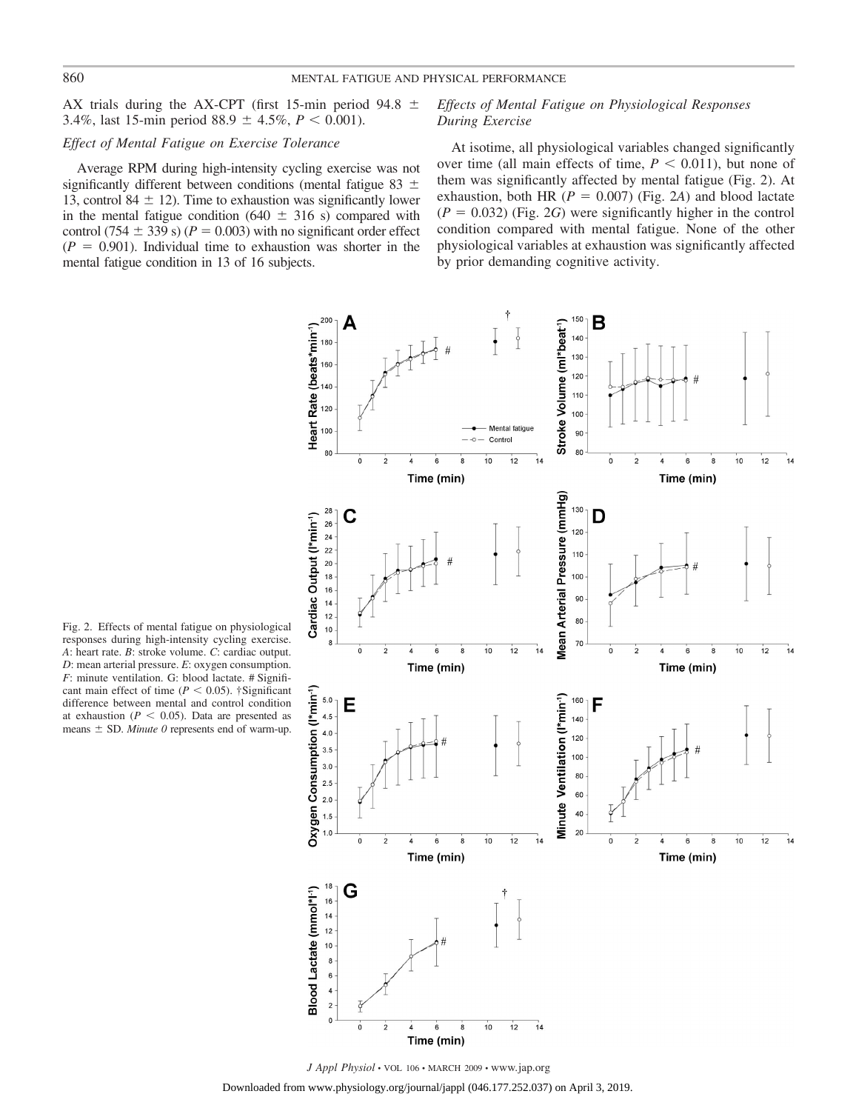AX trials during the AX-CPT (first 15-min period 94.8  $\pm$ 3.4%, last 15-min period  $88.9 \pm 4.5\%$ ,  $P < 0.001$ ).

# *Effect of Mental Fatigue on Exercise Tolerance*

Average RPM during high-intensity cycling exercise was not significantly different between conditions (mental fatigue 83  $\pm$ 13, control 84  $\pm$  12). Time to exhaustion was significantly lower in the mental fatigue condition ( $640 \pm 316$  s) compared with control (754  $\pm$  339 s) ( $P = 0.003$ ) with no significant order effect  $(P = 0.901)$ . Individual time to exhaustion was shorter in the mental fatigue condition in 13 of 16 subjects.

# *Effects of Mental Fatigue on Physiological Responses During Exercise*

At isotime, all physiological variables changed significantly over time (all main effects of time,  $P < 0.011$ ), but none of them was significantly affected by mental fatigue (Fig. 2). At exhaustion, both HR  $(P = 0.007)$  (Fig. 2*A*) and blood lactate  $(P = 0.032)$  (Fig. 2*G*) were significantly higher in the control condition compared with mental fatigue. None of the other physiological variables at exhaustion was significantly affected by prior demanding cognitive activity.



Fig. 2. Effects of mental fatigue on physiological responses during high-intensity cycling exercise. *A*: heart rate. *B*: stroke volume. *C*: cardiac output. *D*: mean arterial pressure. *E*: oxygen consumption. *F*: minute ventilation. G: blood lactate. # Significant main effect of time  $(P < 0.05)$ . †Significant difference between mental and control condition at exhaustion  $(P < 0.05)$ . Data are presented as means  $\pm$  SD. *Minute 0* represents end of warm-up.

*J Appl Physiol* • VOL 106 • MARCH 2009 • www.jap.org

Downloaded from www.physiology.org/journal/jappl (046.177.252.037) on April 3, 2019.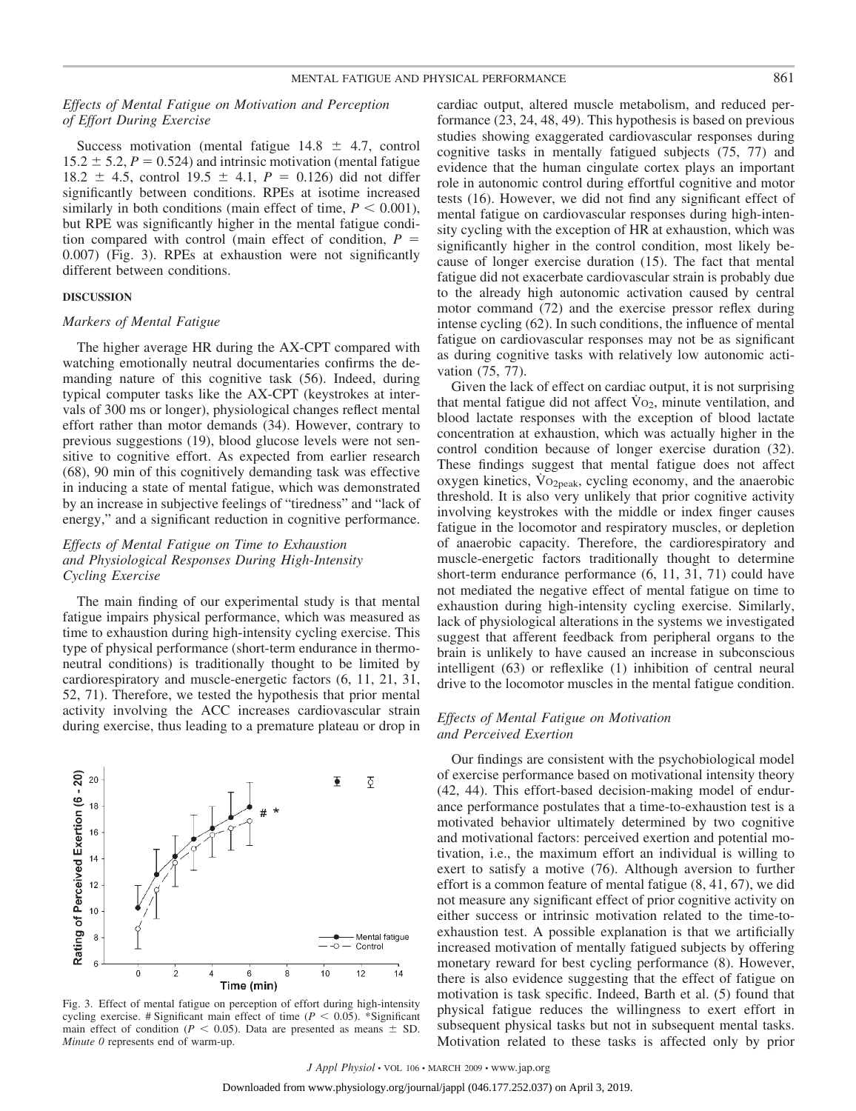# *Effects of Mental Fatigue on Motivation and Perception of Effort During Exercise*

Success motivation (mental fatigue  $14.8 \pm 4.7$ , control  $15.2 \pm 5.2$ ,  $P = 0.524$ ) and intrinsic motivation (mental fatigue 18.2  $\pm$  4.5, control 19.5  $\pm$  4.1, *P* = 0.126) did not differ significantly between conditions. RPEs at isotime increased similarly in both conditions (main effect of time,  $P < 0.001$ ), but RPE was significantly higher in the mental fatigue condition compared with control (main effect of condition,  $P =$ 0.007) (Fig. 3). RPEs at exhaustion were not significantly different between conditions.

### **DISCUSSION**

# *Markers of Mental Fatigue*

The higher average HR during the AX-CPT compared with watching emotionally neutral documentaries confirms the demanding nature of this cognitive task (56). Indeed, during typical computer tasks like the AX-CPT (keystrokes at intervals of 300 ms or longer), physiological changes reflect mental effort rather than motor demands (34). However, contrary to previous suggestions (19), blood glucose levels were not sensitive to cognitive effort. As expected from earlier research (68), 90 min of this cognitively demanding task was effective in inducing a state of mental fatigue, which was demonstrated by an increase in subjective feelings of "tiredness" and "lack of energy," and a significant reduction in cognitive performance.

# *Effects of Mental Fatigue on Time to Exhaustion and Physiological Responses During High-Intensity Cycling Exercise*

The main finding of our experimental study is that mental fatigue impairs physical performance, which was measured as time to exhaustion during high-intensity cycling exercise. This type of physical performance (short-term endurance in thermoneutral conditions) is traditionally thought to be limited by cardiorespiratory and muscle-energetic factors (6, 11, 21, 31, 52, 71). Therefore, we tested the hypothesis that prior mental activity involving the ACC increases cardiovascular strain during exercise, thus leading to a premature plateau or drop in





cardiac output, altered muscle metabolism, and reduced performance (23, 24, 48, 49). This hypothesis is based on previous studies showing exaggerated cardiovascular responses during cognitive tasks in mentally fatigued subjects (75, 77) and evidence that the human cingulate cortex plays an important role in autonomic control during effortful cognitive and motor tests (16). However, we did not find any significant effect of mental fatigue on cardiovascular responses during high-intensity cycling with the exception of HR at exhaustion, which was significantly higher in the control condition, most likely because of longer exercise duration (15). The fact that mental fatigue did not exacerbate cardiovascular strain is probably due to the already high autonomic activation caused by central motor command (72) and the exercise pressor reflex during intense cycling (62). In such conditions, the influence of mental fatigue on cardiovascular responses may not be as significant as during cognitive tasks with relatively low autonomic activation (75, 77).

Given the lack of effect on cardiac output, it is not surprising that mental fatigue did not affect  $\dot{V}_{O_2}$ , minute ventilation, and blood lactate responses with the exception of blood lactate concentration at exhaustion, which was actually higher in the control condition because of longer exercise duration (32). These findings suggest that mental fatigue does not affect oxygen kinetics,  $\overline{V}o_{2peak}$ , cycling economy, and the anaerobic threshold. It is also very unlikely that prior cognitive activity involving keystrokes with the middle or index finger causes fatigue in the locomotor and respiratory muscles, or depletion of anaerobic capacity. Therefore, the cardiorespiratory and muscle-energetic factors traditionally thought to determine short-term endurance performance (6, 11, 31, 71) could have not mediated the negative effect of mental fatigue on time to exhaustion during high-intensity cycling exercise. Similarly, lack of physiological alterations in the systems we investigated suggest that afferent feedback from peripheral organs to the brain is unlikely to have caused an increase in subconscious intelligent (63) or reflexlike (1) inhibition of central neural drive to the locomotor muscles in the mental fatigue condition.

# *Effects of Mental Fatigue on Motivation and Perceived Exertion*

Our findings are consistent with the psychobiological model of exercise performance based on motivational intensity theory (42, 44). This effort-based decision-making model of endurance performance postulates that a time-to-exhaustion test is a motivated behavior ultimately determined by two cognitive and motivational factors: perceived exertion and potential motivation, i.e., the maximum effort an individual is willing to exert to satisfy a motive (76). Although aversion to further effort is a common feature of mental fatigue (8, 41, 67), we did not measure any significant effect of prior cognitive activity on either success or intrinsic motivation related to the time-toexhaustion test. A possible explanation is that we artificially increased motivation of mentally fatigued subjects by offering monetary reward for best cycling performance (8). However, there is also evidence suggesting that the effect of fatigue on motivation is task specific. Indeed, Barth et al. (5) found that physical fatigue reduces the willingness to exert effort in subsequent physical tasks but not in subsequent mental tasks. Motivation related to these tasks is affected only by prior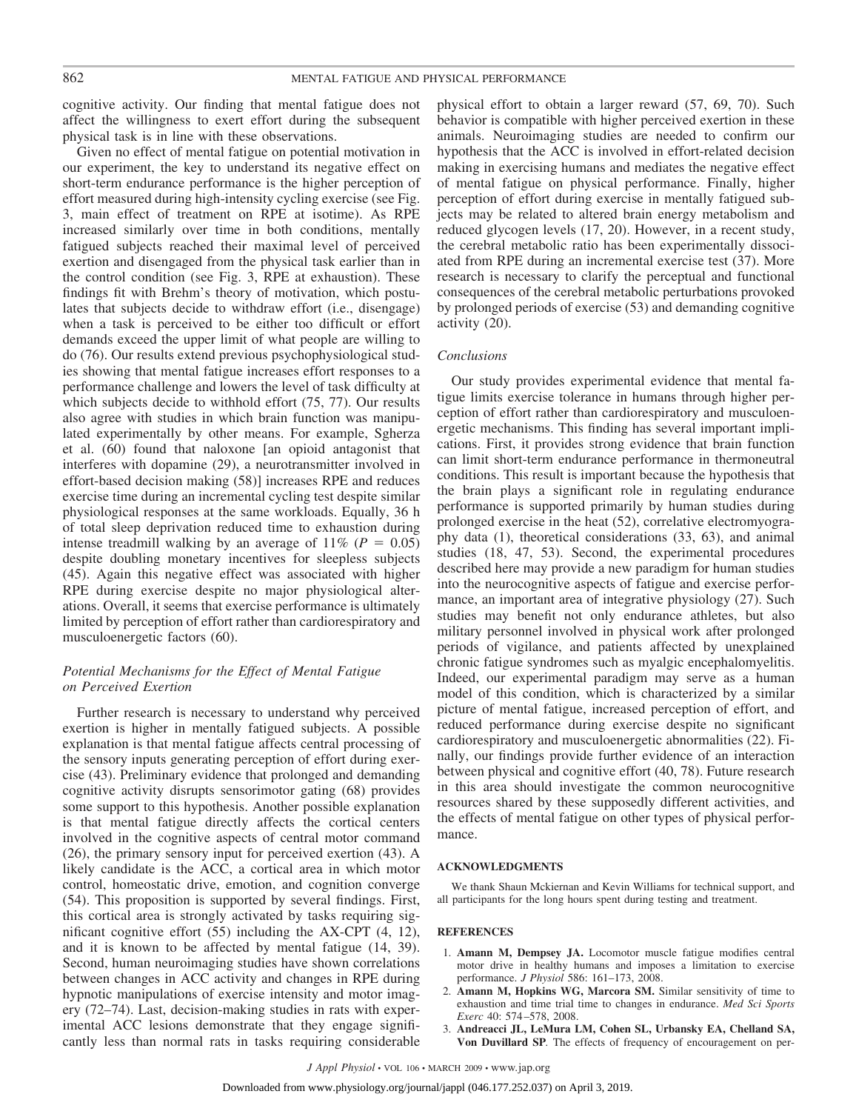cognitive activity. Our finding that mental fatigue does not affect the willingness to exert effort during the subsequent physical task is in line with these observations.

Given no effect of mental fatigue on potential motivation in our experiment, the key to understand its negative effect on short-term endurance performance is the higher perception of effort measured during high-intensity cycling exercise (see Fig. 3, main effect of treatment on RPE at isotime). As RPE increased similarly over time in both conditions, mentally fatigued subjects reached their maximal level of perceived exertion and disengaged from the physical task earlier than in the control condition (see Fig. 3, RPE at exhaustion). These findings fit with Brehm's theory of motivation, which postulates that subjects decide to withdraw effort (i.e., disengage) when a task is perceived to be either too difficult or effort demands exceed the upper limit of what people are willing to do (76). Our results extend previous psychophysiological studies showing that mental fatigue increases effort responses to a performance challenge and lowers the level of task difficulty at which subjects decide to withhold effort (75, 77). Our results also agree with studies in which brain function was manipulated experimentally by other means. For example, Sgherza et al. (60) found that naloxone [an opioid antagonist that interferes with dopamine (29), a neurotransmitter involved in effort-based decision making (58)] increases RPE and reduces exercise time during an incremental cycling test despite similar physiological responses at the same workloads. Equally, 36 h of total sleep deprivation reduced time to exhaustion during intense treadmill walking by an average of  $11\%$  ( $P = 0.05$ ) despite doubling monetary incentives for sleepless subjects (45). Again this negative effect was associated with higher RPE during exercise despite no major physiological alterations. Overall, it seems that exercise performance is ultimately limited by perception of effort rather than cardiorespiratory and musculoenergetic factors (60).

# *Potential Mechanisms for the Effect of Mental Fatigue on Perceived Exertion*

Further research is necessary to understand why perceived exertion is higher in mentally fatigued subjects. A possible explanation is that mental fatigue affects central processing of the sensory inputs generating perception of effort during exercise (43). Preliminary evidence that prolonged and demanding cognitive activity disrupts sensorimotor gating (68) provides some support to this hypothesis. Another possible explanation is that mental fatigue directly affects the cortical centers involved in the cognitive aspects of central motor command (26), the primary sensory input for perceived exertion (43). A likely candidate is the ACC, a cortical area in which motor control, homeostatic drive, emotion, and cognition converge (54). This proposition is supported by several findings. First, this cortical area is strongly activated by tasks requiring significant cognitive effort (55) including the AX-CPT (4, 12), and it is known to be affected by mental fatigue (14, 39). Second, human neuroimaging studies have shown correlations between changes in ACC activity and changes in RPE during hypnotic manipulations of exercise intensity and motor imagery (72–74). Last, decision-making studies in rats with experimental ACC lesions demonstrate that they engage significantly less than normal rats in tasks requiring considerable physical effort to obtain a larger reward (57, 69, 70). Such behavior is compatible with higher perceived exertion in these animals. Neuroimaging studies are needed to confirm our hypothesis that the ACC is involved in effort-related decision making in exercising humans and mediates the negative effect of mental fatigue on physical performance. Finally, higher perception of effort during exercise in mentally fatigued subjects may be related to altered brain energy metabolism and reduced glycogen levels (17, 20). However, in a recent study, the cerebral metabolic ratio has been experimentally dissociated from RPE during an incremental exercise test (37). More research is necessary to clarify the perceptual and functional consequences of the cerebral metabolic perturbations provoked by prolonged periods of exercise (53) and demanding cognitive activity (20).

# *Conclusions*

Our study provides experimental evidence that mental fatigue limits exercise tolerance in humans through higher perception of effort rather than cardiorespiratory and musculoenergetic mechanisms. This finding has several important implications. First, it provides strong evidence that brain function can limit short-term endurance performance in thermoneutral conditions. This result is important because the hypothesis that the brain plays a significant role in regulating endurance performance is supported primarily by human studies during prolonged exercise in the heat (52), correlative electromyography data (1), theoretical considerations (33, 63), and animal studies (18, 47, 53). Second, the experimental procedures described here may provide a new paradigm for human studies into the neurocognitive aspects of fatigue and exercise performance, an important area of integrative physiology (27). Such studies may benefit not only endurance athletes, but also military personnel involved in physical work after prolonged periods of vigilance, and patients affected by unexplained chronic fatigue syndromes such as myalgic encephalomyelitis. Indeed, our experimental paradigm may serve as a human model of this condition, which is characterized by a similar picture of mental fatigue, increased perception of effort, and reduced performance during exercise despite no significant cardiorespiratory and musculoenergetic abnormalities (22). Finally, our findings provide further evidence of an interaction between physical and cognitive effort (40, 78). Future research in this area should investigate the common neurocognitive resources shared by these supposedly different activities, and the effects of mental fatigue on other types of physical performance.

### **ACKNOWLEDGMENTS**

We thank Shaun Mckiernan and Kevin Williams for technical support, and all participants for the long hours spent during testing and treatment.

#### **REFERENCES**

- 1. **Amann M, Dempsey JA.** Locomotor muscle fatigue modifies central motor drive in healthy humans and imposes a limitation to exercise performance. *J Physiol* 586: 161–173, 2008.
- 2. **Amann M, Hopkins WG, Marcora SM.** Similar sensitivity of time to exhaustion and time trial time to changes in endurance. *Med Sci Sports Exerc* 40: 574 –578, 2008.
- 3. **Andreacci JL, LeMura LM, Cohen SL, Urbansky EA, Chelland SA, Von Duvillard SP***.* The effects of frequency of encouragement on per-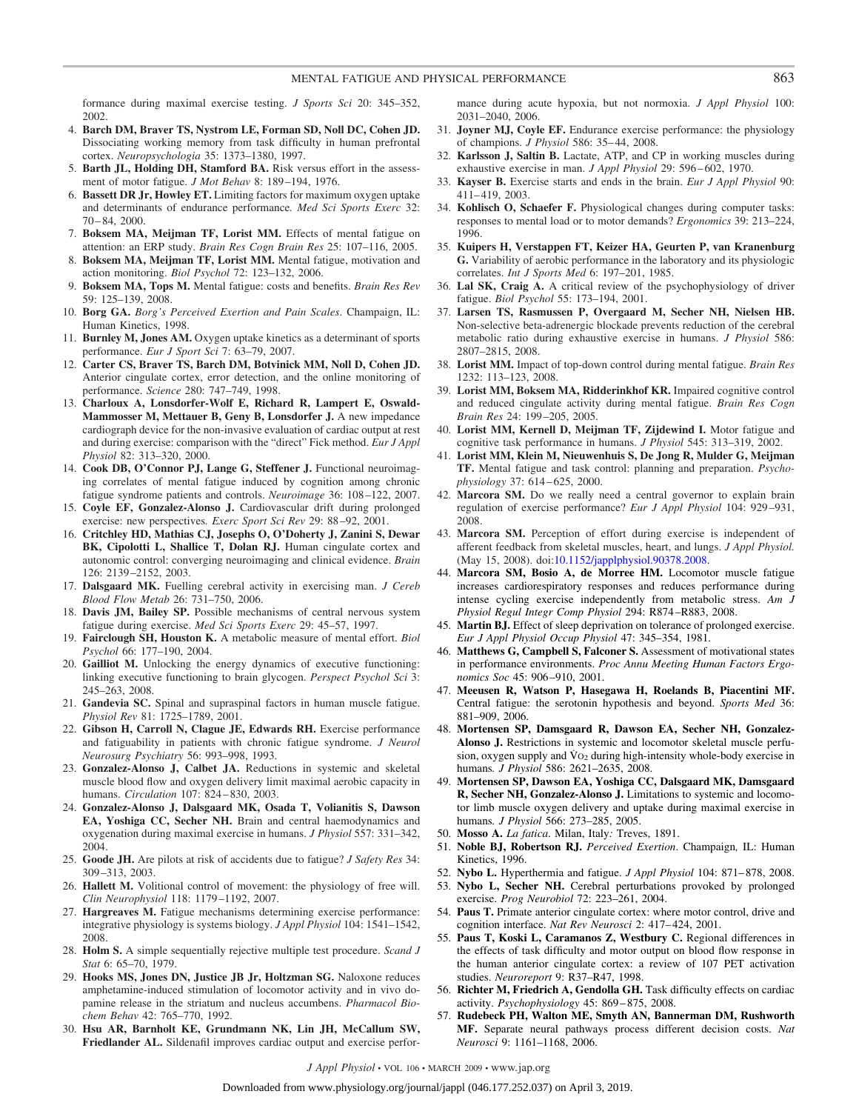formance during maximal exercise testing. *J Sports Sci* 20: 345–352, 2002.

- 4. **Barch DM, Braver TS, Nystrom LE, Forman SD, Noll DC, Cohen JD.** Dissociating working memory from task difficulty in human prefrontal cortex. *Neuropsychologia* 35: 1373–1380, 1997.
- 5. **Barth JL, Holding DH, Stamford BA.** Risk versus effort in the assessment of motor fatigue. *J Mot Behav* 8: 189 –194, 1976.
- 6. **Bassett DR Jr, Howley ET.** Limiting factors for maximum oxygen uptake and determinants of endurance performance*. Med Sci Sports Exerc* 32: 70 – 84, 2000.
- 7. **Boksem MA, Meijman TF, Lorist MM.** Effects of mental fatigue on attention: an ERP study. *Brain Res Cogn Brain Res* 25: 107–116, 2005.
- 8. **Boksem MA, Meijman TF, Lorist MM.** Mental fatigue, motivation and action monitoring. *Biol Psychol* 72: 123–132, 2006.
- 9. **Boksem MA, Tops M.** Mental fatigue: costs and benefits. *Brain Res Rev* 59: 125–139, 2008.
- 10. **Borg GA.** *Borg's Perceived Exertion and Pain Scales*. Champaign, IL: Human Kinetics, 1998.
- 11. **Burnley M, Jones AM.** Oxygen uptake kinetics as a determinant of sports performance. *Eur J Sport Sci* 7: 63–79, 2007.
- 12. **Carter CS, Braver TS, Barch DM, Botvinick MM, Noll D, Cohen JD.** Anterior cingulate cortex, error detection, and the online monitoring of performance. *Science* 280: 747–749, 1998.
- 13. **Charloux A, Lonsdorfer-Wolf E, Richard R, Lampert E, Oswald-Mammosser M, Mettauer B, Geny B, Lonsdorfer J.** A new impedance cardiograph device for the non-invasive evaluation of cardiac output at rest and during exercise: comparison with the "direct" Fick method. *Eur J Appl Physiol* 82: 313–320, 2000.
- 14. **Cook DB, O'Connor PJ, Lange G, Steffener J.** Functional neuroimaging correlates of mental fatigue induced by cognition among chronic fatigue syndrome patients and controls. *Neuroimage* 36: 108 –122, 2007.
- 15. **Coyle EF, Gonzalez-Alonso J.** Cardiovascular drift during prolonged exercise: new perspectives*. Exerc Sport Sci Rev* 29: 88 –92, 2001.
- 16. **Critchley HD, Mathias CJ, Josephs O, O'Doherty J, Zanini S, Dewar BK, Cipolotti L, Shallice T, Dolan RJ.** Human cingulate cortex and autonomic control: converging neuroimaging and clinical evidence. *Brain* 126: 2139 –2152, 2003.
- 17. **Dalsgaard MK.** Fuelling cerebral activity in exercising man. *J Cereb Blood Flow Metab* 26: 731–750, 2006.
- 18. **Davis JM, Bailey SP.** Possible mechanisms of central nervous system fatigue during exercise. *Med Sci Sports Exerc* 29: 45–57, 1997.
- 19. **Fairclough SH, Houston K.** A metabolic measure of mental effort. *Biol Psychol* 66: 177–190, 2004.
- 20. **Gailliot M.** Unlocking the energy dynamics of executive functioning: linking executive functioning to brain glycogen. *Perspect Psychol Sci* 3: 245–263, 2008.
- 21. **Gandevia SC.** Spinal and supraspinal factors in human muscle fatigue. *Physiol Rev* 81: 1725–1789, 2001.
- 22. **Gibson H, Carroll N, Clague JE, Edwards RH.** Exercise performance and fatiguability in patients with chronic fatigue syndrome. *J Neurol Neurosurg Psychiatry* 56: 993–998, 1993.
- 23. **Gonzalez-Alonso J, Calbet JA.** Reductions in systemic and skeletal muscle blood flow and oxygen delivery limit maximal aerobic capacity in humans. *Circulation* 107: 824 – 830, 2003.
- 24. **Gonzalez-Alonso J, Dalsgaard MK, Osada T, Volianitis S, Dawson EA, Yoshiga CC, Secher NH.** Brain and central haemodynamics and oxygenation during maximal exercise in humans. *J Physiol* 557: 331–342, 2004.
- 25. **Goode JH.** Are pilots at risk of accidents due to fatigue? *J Safety Res* 34: 309 –313, 2003.
- 26. **Hallett M.** Volitional control of movement: the physiology of free will. *Clin Neurophysiol* 118: 1179 –1192, 2007.
- 27. **Hargreaves M.** Fatigue mechanisms determining exercise performance: integrative physiology is systems biology. *J Appl Physiol* 104: 1541–1542, 2008.
- 28. **Holm S.** A simple sequentially rejective multiple test procedure. *Scand J Stat* 6: 65–70, 1979.
- 29. **Hooks MS, Jones DN, Justice JB Jr, Holtzman SG.** Naloxone reduces amphetamine-induced stimulation of locomotor activity and in vivo dopamine release in the striatum and nucleus accumbens. *Pharmacol Biochem Behav* 42: 765–770, 1992.
- 30. **Hsu AR, Barnholt KE, Grundmann NK, Lin JH, McCallum SW, Friedlander AL.** Sildenafil improves cardiac output and exercise perfor-

mance during acute hypoxia, but not normoxia. *J Appl Physiol* 100: 2031–2040, 2006.

- 31. **Joyner MJ, Coyle EF.** Endurance exercise performance: the physiology of champions. *J Physiol* 586: 35– 44, 2008.
- 32. **Karlsson J, Saltin B.** Lactate, ATP, and CP in working muscles during exhaustive exercise in man. *J Appl Physiol* 29: 596 – 602, 1970.
- 33. **Kayser B.** Exercise starts and ends in the brain. *Eur J Appl Physiol* 90: 411– 419, 2003.
- 34. **Kohlisch O, Schaefer F.** Physiological changes during computer tasks: responses to mental load or to motor demands? *Ergonomics* 39: 213–224, 1996.
- 35. **Kuipers H, Verstappen FT, Keizer HA, Geurten P, van Kranenburg G.** Variability of aerobic performance in the laboratory and its physiologic correlates. *Int J Sports Med* 6: 197–201, 1985.
- 36. **Lal SK, Craig A.** A critical review of the psychophysiology of driver fatigue. *Biol Psychol* 55: 173–194, 2001.
- 37. **Larsen TS, Rasmussen P, Overgaard M, Secher NH, Nielsen HB.** Non-selective beta-adrenergic blockade prevents reduction of the cerebral metabolic ratio during exhaustive exercise in humans. *J Physiol* 586: 2807–2815, 2008.
- 38. **Lorist MM.** Impact of top-down control during mental fatigue. *Brain Res* 1232: 113–123, 2008.
- 39. **Lorist MM, Boksem MA, Ridderinkhof KR.** Impaired cognitive control and reduced cingulate activity during mental fatigue. *Brain Res Cogn Brain Res* 24: 199 –205, 2005.
- 40. **Lorist MM, Kernell D, Meijman TF, Zijdewind I.** Motor fatigue and cognitive task performance in humans. *J Physiol* 545: 313–319, 2002.
- 41. **Lorist MM, Klein M, Nieuwenhuis S, De Jong R, Mulder G, Meijman TF.** Mental fatigue and task control: planning and preparation. *Psychophysiology* 37: 614 – 625, 2000.
- 42. **Marcora SM.** Do we really need a central governor to explain brain regulation of exercise performance? *Eur J Appl Physiol* 104: 929 –931, 2008.
- 43. **Marcora SM.** Perception of effort during exercise is independent of afferent feedback from skeletal muscles, heart, and lungs. *J Appl Physiol.* (May 15, 2008). doi[:10.1152/japplphysiol.90378.2008.](http://dx.doi.org/10.1152/japplphysiol.90378.2008)
- 44. **Marcora SM, Bosio A, de Morree HM.** Locomotor muscle fatigue increases cardiorespiratory responses and reduces performance during intense cycling exercise independently from metabolic stress. *Am J Physiol Regul Integr Comp Physiol* 294: R874 –R883, 2008.
- 45. **Martin BJ.** Effect of sleep deprivation on tolerance of prolonged exercise. *Eur J Appl Physiol Occup Physiol* 47: 345–354, 1981.
- 46. **Matthews G, Campbell S, Falconer S.** Assessment of motivational states in performance environments. *Proc Annu Meeting Human Factors Ergonomics Soc* 45: 906 –910, 2001.
- 47. **Meeusen R, Watson P, Hasegawa H, Roelands B, Piacentini MF.** Central fatigue: the serotonin hypothesis and beyond. *Sports Med* 36: 881–909, 2006.
- 48. **Mortensen SP, Damsgaard R, Dawson EA, Secher NH, Gonzalez-Alonso J.** Restrictions in systemic and locomotor skeletal muscle perfusion, oxygen supply and  $\dot{V}$  O<sub>2</sub> during high-intensity whole-body exercise in humans*. J Physiol* 586: 2621–2635, 2008.
- 49. **Mortensen SP, Dawson EA, Yoshiga CC, Dalsgaard MK, Damsgaard R, Secher NH, Gonzalez-Alonso J.** Limitations to systemic and locomotor limb muscle oxygen delivery and uptake during maximal exercise in humans*. J Physiol* 566: 273–285, 2005.
- 50. **Mosso A.** *La fatica*. Milan, Italy*:* Treves, 1891.
- 51. **Noble BJ, Robertson RJ.** *Perceived Exertion*. Champaign*,* IL: Human Kinetics, 1996.
- 52. **Nybo L.** Hyperthermia and fatigue. *J Appl Physiol* 104: 871– 878, 2008.
- 53. **Nybo L, Secher NH.** Cerebral perturbations provoked by prolonged exercise. *Prog Neurobiol* 72: 223–261, 2004.
- 54. **Paus T.** Primate anterior cingulate cortex: where motor control, drive and cognition interface. *Nat Rev Neurosci* 2: 417– 424, 2001.
- 55. **Paus T, Koski L, Caramanos Z, Westbury C.** Regional differences in the effects of task difficulty and motor output on blood flow response in the human anterior cingulate cortex: a review of 107 PET activation studies. *Neuroreport* 9: R37–R47, 1998.
- 56. **Richter M, Friedrich A, Gendolla GH.** Task difficulty effects on cardiac activity. *Psychophysiology* 45: 869 – 875, 2008.
- 57. **Rudebeck PH, Walton ME, Smyth AN, Bannerman DM, Rushworth MF.** Separate neural pathways process different decision costs. *Nat Neurosci* 9: 1161–1168, 2006.